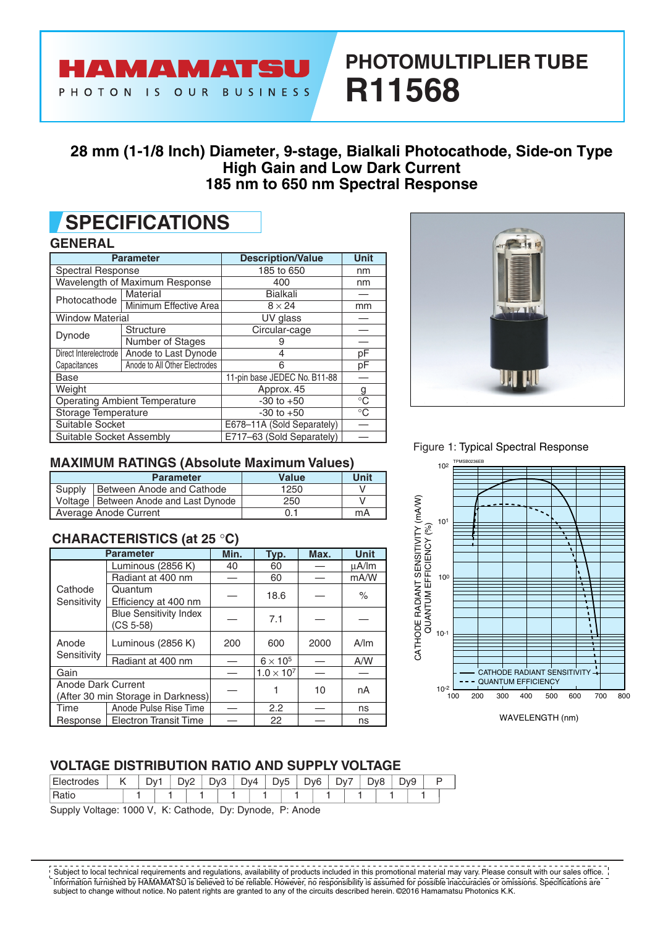### **HAMAMATSU** PHOTON IS OUR BUSINESS

# **PHOTOMULTIPLIER TUBE R11568**

### **28 mm (1-1/8 Inch) Diameter, 9-stage, Bialkali Photocathode, Side-on Type High Gain and Low Dark Current 185 nm to 650 nm Spectral Response**

## **SPECIFICATIONS**

#### **GENERAL**

|                          | <b>Parameter</b>                     | <b>Description/Value</b>     | <b>Unit</b> |  |  |  |  |  |  |  |  |  |
|--------------------------|--------------------------------------|------------------------------|-------------|--|--|--|--|--|--|--|--|--|
| <b>Spectral Response</b> |                                      | 185 to 650                   | nm          |  |  |  |  |  |  |  |  |  |
|                          | Wavelength of Maximum Response       | 400                          | nm          |  |  |  |  |  |  |  |  |  |
|                          | Material                             | <b>Bialkali</b>              |             |  |  |  |  |  |  |  |  |  |
| Photocathode             | Minimum Effective Area               | $8 \times 24$                | mm          |  |  |  |  |  |  |  |  |  |
| <b>Window Material</b>   |                                      | UV glass                     |             |  |  |  |  |  |  |  |  |  |
| Dynode                   | <b>Structure</b>                     | Circular-cage                |             |  |  |  |  |  |  |  |  |  |
|                          | Number of Stages                     | 9                            |             |  |  |  |  |  |  |  |  |  |
| Direct Interelectrode    | Anode to Last Dynode                 |                              | pF          |  |  |  |  |  |  |  |  |  |
| Capacitances             | Anode to All Other Electrodes        | 6                            | рF          |  |  |  |  |  |  |  |  |  |
| Base                     |                                      | 11-pin base JEDEC No. B11-88 |             |  |  |  |  |  |  |  |  |  |
| Weight                   |                                      | Approx. 45                   | g           |  |  |  |  |  |  |  |  |  |
|                          | <b>Operating Ambient Temperature</b> | $-30$ to $+50$               | $^{\circ}C$ |  |  |  |  |  |  |  |  |  |
| Storage Temperature      |                                      | $-30$ to $+50$               | $^{\circ}C$ |  |  |  |  |  |  |  |  |  |
| <b>Suitable Socket</b>   |                                      | E678-11A (Sold Separately)   |             |  |  |  |  |  |  |  |  |  |
| Suitable Socket Assembly |                                      | E717-63 (Sold Separately)    |             |  |  |  |  |  |  |  |  |  |



#### Figure 1: Typical Spectral Response

#### **MAXIMUM RATINGS (Absolute Maximum Values)**

| <b>Parameter</b>                        | <b>Value</b> | Unit |
|-----------------------------------------|--------------|------|
| Supply   Between Anode and Cathode      | 1250         |      |
| Voltage   Between Anode and Last Dynode | 250          |      |
| Average Anode Current                   | 0.1          | mA   |

### **CHARACTERISTlCS (at 25** °**C)**

|                      | <b>Parameter</b>                             | Min. | Typ.                | Max. | <b>Unit</b> |  |
|----------------------|----------------------------------------------|------|---------------------|------|-------------|--|
|                      | Luminous (2856 K)                            | 40   | 60                  |      | uA/lm       |  |
|                      | Radiant at 400 nm                            |      | 60                  |      | mA/W        |  |
| Cathode              | Quantum                                      |      | 18.6                |      | $\%$        |  |
| Sensitivity          | Efficiency at 400 nm                         |      |                     |      |             |  |
|                      | <b>Blue Sensitivity Index</b><br>$(CS 5-58)$ |      | 7.1                 |      |             |  |
| Anode<br>Sensitivity | Luminous (2856 K)                            | 200  | 600                 |      | A/m         |  |
|                      | Radiant at 400 nm                            |      | $6 \times 10^5$     |      | A/W         |  |
| Gain                 |                                              |      | $1.0 \times 10^{7}$ |      |             |  |
| Anode Dark Current   |                                              |      |                     | 10   | nA          |  |
|                      | (After 30 min Storage in Darkness)           |      |                     |      |             |  |
| Time                 | Anode Pulse Rise Time                        |      | 2.2                 |      | ns          |  |
| Response             | <b>Electron Transit Time</b>                 |      | 22                  |      | ns          |  |



### **VOLTAGE DISTRIBUTION RATIO AND SUPPLY VOLTAGE**

|                                                        |  |  |  |  |  |  | 30.3 |  | ר $\gamma$ | Dv5 |  |  |  |  | JV9 |  |  |
|--------------------------------------------------------|--|--|--|--|--|--|------|--|------------|-----|--|--|--|--|-----|--|--|
|                                                        |  |  |  |  |  |  |      |  |            |     |  |  |  |  |     |  |  |
| Curabillelle and 1000 V V. Catharde Du Dunade D. Anade |  |  |  |  |  |  |      |  |            |     |  |  |  |  |     |  |  |

Supply Voltage: 1000 V, K: Cathode, Dy: Dynode, P: Anode

Information furnished by HAMAMATSU is believed to be reliable. However, no responsibility is assumed for possible inaccuracies or omissions. Specifications are subject to change without notice. No patent rights are granted to any of the circuits described herein. ©2016 Hamamatsu Photonics K.K. Subject to local technical requirements and regulations, availability of products included in this promotional material may vary. Please consult with our sales office.